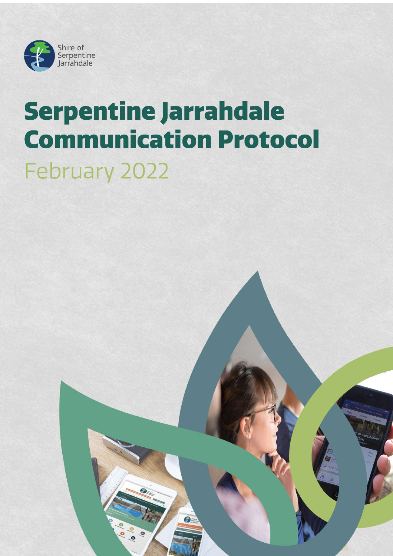

# **Serpentine Jarrahdale Communication Protocol** February 2022

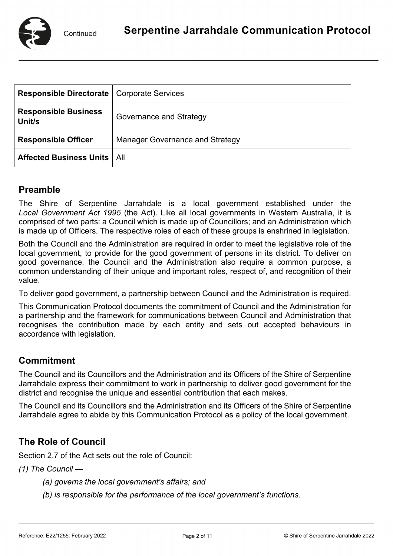

| <b>Responsible Directorate   Corporate Services</b> |                                        |
|-----------------------------------------------------|----------------------------------------|
| <b>Responsible Business</b><br>Unit/s               | Governance and Strategy                |
| <b>Responsible Officer</b>                          | <b>Manager Governance and Strategy</b> |
| <b>Affected Business Units   All</b>                |                                        |

## **Preamble**

The Shire of Serpentine Jarrahdale is a local government established under the *Local Government Act 1995* (the Act). Like all local governments in Western Australia, it is comprised of two parts: a Council which is made up of Councillors; and an Administration which is made up of Officers. The respective roles of each of these groups is enshrined in legislation.

Both the Council and the Administration are required in order to meet the legislative role of the local government, to provide for the good government of persons in its district. To deliver on good governance, the Council and the Administration also require a common purpose, a common understanding of their unique and important roles, respect of, and recognition of their value.

To deliver good government, a partnership between Council and the Administration is required.

This Communication Protocol documents the commitment of Council and the Administration for a partnership and the framework for communications between Council and Administration that recognises the contribution made by each entity and sets out accepted behaviours in accordance with legislation.

## **Commitment**

The Council and its Councillors and the Administration and its Officers of the Shire of Serpentine Jarrahdale express their commitment to work in partnership to deliver good government for the district and recognise the unique and essential contribution that each makes.

The Council and its Councillors and the Administration and its Officers of the Shire of Serpentine Jarrahdale agree to abide by this Communication Protocol as a policy of the local government.

## **The Role of Council**

Section 2.7 of the Act sets out the role of Council:

*(1) The Council —*

- *(a) governs the local government's affairs; and*
- *(b) is responsible for the performance of the local government's functions.*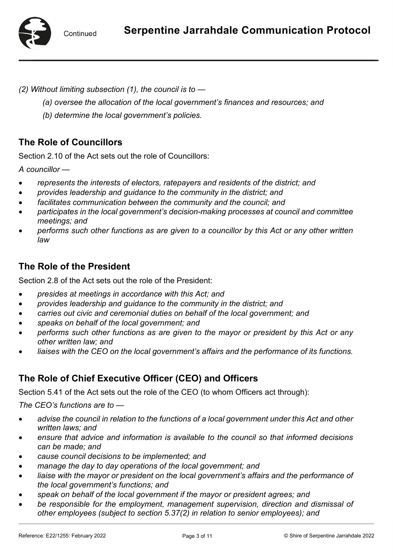

*(2) Without limiting subsection (1), the council is to —*

- *(a) oversee the allocation of the local government's finances and resources; and*
- *(b) determine the local government's policies.*

# **The Role of Councillors**

Section 2.10 of the Act sets out the role of Councillors:

*A councillor —*

- *represents the interests of electors, ratepayers and residents of the district; and*
- *provides leadership and guidance to the community in the district; and*
- *facilitates communication between the community and the council; and*
- *participates in the local government's decision-making processes at council and committee meetings; and*
- *performs such other functions as are given to a councillor by this Act or any other written law*

# **The Role of the President**

Section 2.8 of the Act sets out the role of the President:

- *presides at meetings in accordance with this Act; and*
- *provides leadership and guidance to the community in the district; and*
- *carries out civic and ceremonial duties on behalf of the local government; and*
- *speaks on behalf of the local government; and*
- *performs such other functions as are given to the mayor or president by this Act or any other written law; and*
- *liaises with the CEO on the local government's affairs and the performance of its functions.*

## **The Role of Chief Executive Officer (CEO) and Officers**

Section 5.41 of the Act sets out the role of the CEO (to whom Officers act through):

*The CEO's functions are to —*

- *advise the council in relation to the functions of a local government under this Act and other written laws; and*
- *ensure that advice and information is available to the council so that informed decisions can be made; and*
- *cause council decisions to be implemented; and*
- *manage the day to day operations of the local government; and*
- *liaise with the mayor or president on the local government's affairs and the performance of the local government's functions; and*
- *speak on behalf of the local government if the mayor or president agrees; and*
- *be responsible for the employment, management supervision, direction and dismissal of other employees (subject to section 5.37(2) in relation to senior employees); and*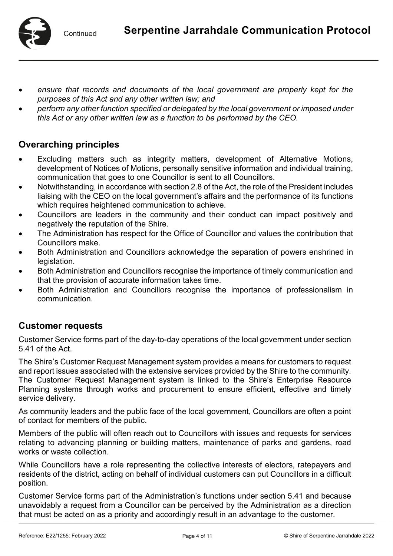

- *ensure that records and documents of the local government are properly kept for the purposes of this Act and any other written law; and*
- *perform any other function specified or delegated by the local government or imposed under this Act or any other written law as a function to be performed by the CEO.*

## **Overarching principles**

- Excluding matters such as integrity matters, development of Alternative Motions, development of Notices of Motions, personally sensitive information and individual training, communication that goes to one Councillor is sent to all Councillors.
- Notwithstanding, in accordance with section 2.8 of the Act, the role of the President includes liaising with the CEO on the local government's affairs and the performance of its functions which requires heightened communication to achieve.
- Councillors are leaders in the community and their conduct can impact positively and negatively the reputation of the Shire.
- The Administration has respect for the Office of Councillor and values the contribution that Councillors make.
- Both Administration and Councillors acknowledge the separation of powers enshrined in legislation.
- Both Administration and Councillors recognise the importance of timely communication and that the provision of accurate information takes time.
- Both Administration and Councillors recognise the importance of professionalism in communication.

## **Customer requests**

Customer Service forms part of the day-to-day operations of the local government under section 5.41 of the Act.

The Shire's Customer Request Management system provides a means for customers to request and report issues associated with the extensive services provided by the Shire to the community. The Customer Request Management system is linked to the Shire's Enterprise Resource Planning systems through works and procurement to ensure efficient, effective and timely service delivery.

As community leaders and the public face of the local government, Councillors are often a point of contact for members of the public.

Members of the public will often reach out to Councillors with issues and requests for services relating to advancing planning or building matters, maintenance of parks and gardens, road works or waste collection.

While Councillors have a role representing the collective interests of electors, ratepayers and residents of the district, acting on behalf of individual customers can put Councillors in a difficult position.

Customer Service forms part of the Administration's functions under section 5.41 and because unavoidably a request from a Councillor can be perceived by the Administration as a direction that must be acted on as a priority and accordingly result in an advantage to the customer.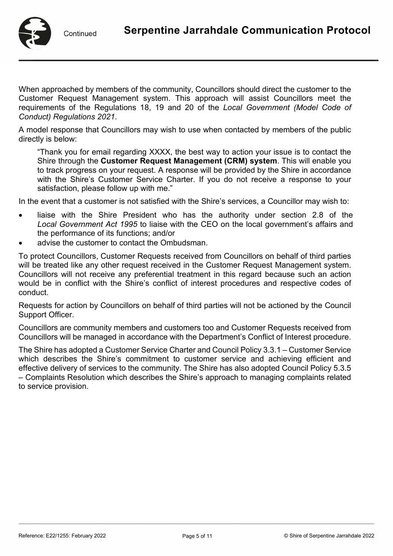

When approached by members of the community, Councillors should direct the customer to the Customer Request Management system. This approach will assist Councillors meet the requirements of the Regulations 18, 19 and 20 of the *Local Government (Model Code of Conduct) Regulations 2021*.

A model response that Councillors may wish to use when contacted by members of the public directly is below:

"Thank you for email regarding XXXX, the best way to action your issue is to contact the Shire through the **[Customer Request Management \(CRM\) system](https://www.sjshire.wa.gov.au/community/services/request-report-it.aspx)**. This will enable you to track progress on your request. A response will be provided by the Shire in accordance with the Shire's Customer Service Charter. If you do not receive a response to your satisfaction, please follow up with me."

In the event that a customer is not satisfied with the Shire's services, a Councillor may wish to:

- liaise with the Shire President who has the authority under section 2.8 of the *Local Government Act 1995* to liaise with the CEO on the local government's affairs and the performance of its functions; and/or
- advise the customer to contact the Ombudsman.

To protect Councillors, Customer Requests received from Councillors on behalf of third parties will be treated like any other request received in the Customer Request Management system. Councillors will not receive any preferential treatment in this regard because such an action would be in conflict with the Shire's conflict of interest procedures and respective codes of conduct.

Requests for action by Councillors on behalf of third parties will not be actioned by the Council Support Officer.

Councillors are community members and customers too and Customer Requests received from Councillors will be managed in accordance with the Department's Conflict of Interest procedure.

The Shire has adopted a Customer Service Charter and Council Policy 3.3.1 – Customer Service which describes the Shire's commitment to customer service and achieving efficient and effective delivery of services to the community. The Shire has also adopted Council Policy 5.3.5 – Complaints Resolution which describes the Shire's approach to managing complaints related to service provision.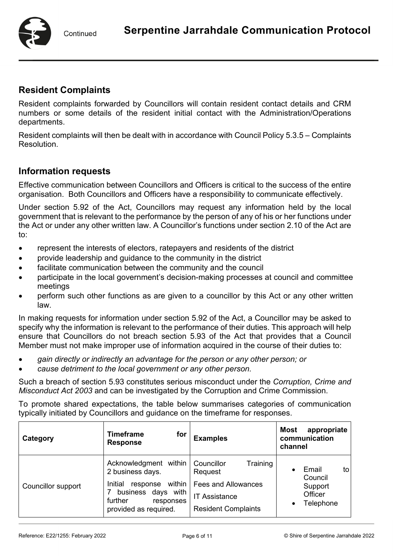Continued

## **Resident Complaints**

Resident complaints forwarded by Councillors will contain resident contact details and CRM numbers or some details of the resident initial contact with the Administration/Operations departments.

Resident complaints will then be dealt with in accordance with Council Policy 5.3.5 – Complaints Resolution.

## **Information requests**

Effective communication between Councillors and Officers is critical to the success of the entire organisation. Both Councillors and Officers have a responsibility to communicate effectively.

Under section 5.92 of the Act, Councillors may request any information held by the local government that is relevant to the performance by the person of any of his or her functions under the Act or under any other written law. A Councillor's functions under section 2.10 of the Act are to:

- represent the interests of electors, ratepayers and residents of the district
- provide leadership and guidance to the community in the district
- facilitate communication between the community and the council
- participate in the local government's decision-making processes at council and committee meetings
- perform such other functions as are given to a councillor by this Act or any other written law.

In making requests for information under section 5.92 of the Act, a Councillor may be asked to specify why the information is relevant to the performance of their duties. This approach will help ensure that Councillors do not breach section 5.93 of the Act that provides that a Council Member must not make improper use of information acquired in the course of their duties to:

- *gain directly or indirectly an advantage for the person or any other person; or*
- *cause detriment to the local government or any other person.*

Such a breach of section 5.93 constitutes serious misconduct under the *Corruption, Crime and Misconduct Act 2003* and can be investigated by the Corruption and Crime Commission.

To promote shared expectations, the table below summarises categories of communication typically initiated by Councillors and guidance on the timeframe for responses.

| Category                  | <b>Timeframe</b><br>for<br><b>Response</b>                                                                                                        | <b>Examples</b>                                                                                                       | appropriate<br><b>Most</b><br>communication<br>channel     |
|---------------------------|---------------------------------------------------------------------------------------------------------------------------------------------------|-----------------------------------------------------------------------------------------------------------------------|------------------------------------------------------------|
| <b>Councillor support</b> | Acknowledgment within<br>2 business days.<br>within<br>Initial<br>response<br>business days with<br>further<br>responses<br>provided as required. | Training<br>Councillor<br>Request<br><b>Fees and Allowances</b><br><b>IT Assistance</b><br><b>Resident Complaints</b> | Email<br>tol<br>Council<br>Support<br>Officer<br>Telephone |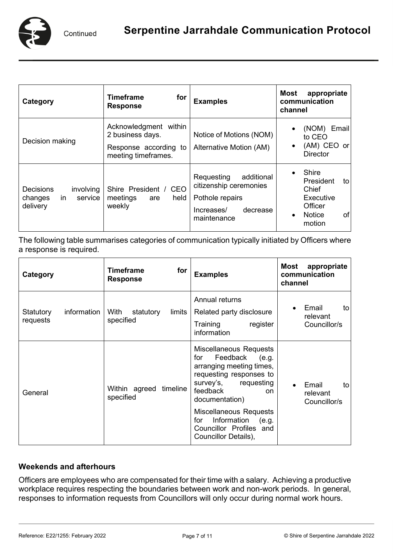

| Category                                                                      | <b>Timeframe</b><br>for<br><b>Response</b>                                                | <b>Examples</b>                                                                                                | <b>Most</b><br>appropriate<br>communication<br>channel                                                         |
|-------------------------------------------------------------------------------|-------------------------------------------------------------------------------------------|----------------------------------------------------------------------------------------------------------------|----------------------------------------------------------------------------------------------------------------|
| Decision making                                                               | Acknowledgment within<br>2 business days.<br>Response according to<br>meeting timeframes. | Notice of Motions (NOM)<br>Alternative Motion (AM)                                                             | (NOM)<br>Email<br>$\bullet$<br>to CEO<br>(AM) CEO or<br>$\bullet$<br><b>Director</b>                           |
| <b>Decisions</b><br><i>involving</i><br>service<br>changes<br>in.<br>delivery | Shire President / CEO<br>meetings<br>held<br>are<br>weekly                                | Requesting<br>additional<br>citizenship ceremonies<br>Pothole repairs<br>decrease<br>Increases/<br>maintenance | <b>Shire</b><br>President<br>to<br>Chief<br>Executive<br>Officer<br><b>Notice</b><br>of<br>$\bullet$<br>motion |

The following table summarises categories of communication typically initiated by Officers where a response is required.

| Category                             | <b>Timeframe</b><br>for<br><b>Response</b> | <b>Examples</b>                                                                                                                                                                                                                                                                              | Most<br>appropriate<br>communication<br>channel |
|--------------------------------------|--------------------------------------------|----------------------------------------------------------------------------------------------------------------------------------------------------------------------------------------------------------------------------------------------------------------------------------------------|-------------------------------------------------|
| information<br>Statutory<br>requests | With<br>limits<br>statutory<br>specified   | Annual returns<br>Related party disclosure<br>Training<br>register<br>information                                                                                                                                                                                                            | Email<br>to<br>relevant<br>Councillor/s         |
| General                              | timeline<br>Within agreed<br>specified     | <b>Miscellaneous Requests</b><br>Feedback<br>(e.g.<br>for<br>arranging meeting times,<br>requesting responses to<br>survey's,<br>requesting<br>feedback<br>on.<br>documentation)<br>Miscellaneous Requests<br>Information<br>for<br>(e.g.<br>Councillor Profiles and<br>Councillor Details), | Email<br>to<br>relevant<br>Councillor/s         |

#### **Weekends and afterhours**

Officers are employees who are compensated for their time with a salary. Achieving a productive workplace requires respecting the boundaries between work and non-work periods. In general, responses to information requests from Councillors will only occur during normal work hours.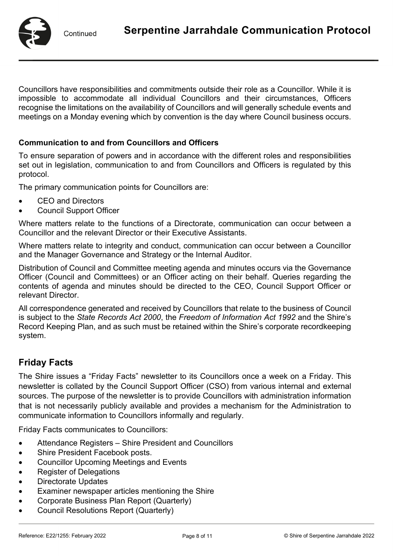Councillors have responsibilities and commitments outside their role as a Councillor. While it is impossible to accommodate all individual Councillors and their circumstances, Officers recognise the limitations on the availability of Councillors and will generally schedule events and meetings on a Monday evening which by convention is the day where Council business occurs.

#### **Communication to and from Councillors and Officers**

To ensure separation of powers and in accordance with the different roles and responsibilities set out in legislation, communication to and from Councillors and Officers is regulated by this protocol.

The primary communication points for Councillors are:

- CEO and Directors
- Council Support Officer

Where matters relate to the functions of a Directorate, communication can occur between a Councillor and the relevant Director or their Executive Assistants.

Where matters relate to integrity and conduct, communication can occur between a Councillor and the Manager Governance and Strategy or the Internal Auditor.

Distribution of Council and Committee meeting agenda and minutes occurs via the Governance Officer (Council and Committees) or an Officer acting on their behalf. Queries regarding the contents of agenda and minutes should be directed to the CEO, Council Support Officer or relevant Director.

All correspondence generated and received by Councillors that relate to the business of Council is subject to the *State Records Act 2000*, the *Freedom of Information Act 1992* and the Shire's Record Keeping Plan, and as such must be retained within the Shire's corporate recordkeeping system.

## **Friday Facts**

The Shire issues a "Friday Facts" newsletter to its Councillors once a week on a Friday. This newsletter is collated by the Council Support Officer (CSO) from various internal and external sources. The purpose of the newsletter is to provide Councillors with administration information that is not necessarily publicly available and provides a mechanism for the Administration to communicate information to Councillors informally and regularly.

Friday Facts communicates to Councillors:

- Attendance Registers Shire President and Councillors
- Shire President Facebook posts.
- Councillor Upcoming Meetings and Events
- Register of Delegations
- Directorate Updates
- Examiner newspaper articles mentioning the Shire
- Corporate Business Plan Report (Quarterly)
- Council Resolutions Report (Quarterly)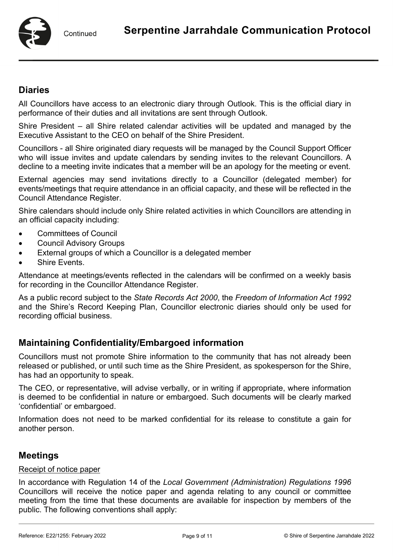

## **Diaries**

All Councillors have access to an electronic diary through Outlook. This is the official diary in performance of their duties and all invitations are sent through Outlook.

Shire President – all Shire related calendar activities will be updated and managed by the Executive Assistant to the CEO on behalf of the Shire President.

Councillors - all Shire originated diary requests will be managed by the Council Support Officer who will issue invites and update calendars by sending invites to the relevant Councillors. A decline to a meeting invite indicates that a member will be an apology for the meeting or event.

External agencies may send invitations directly to a Councillor (delegated member) for events/meetings that require attendance in an official capacity, and these will be reflected in the Council Attendance Register.

Shire calendars should include only Shire related activities in which Councillors are attending in an official capacity including:

- Committees of Council
- Council Advisory Groups
- External groups of which a Councillor is a delegated member
- Shire Events.

Attendance at meetings/events reflected in the calendars will be confirmed on a weekly basis for recording in the Councillor Attendance Register.

As a public record subject to the *State Records Act 2000*, the *Freedom of Information Act 1992* and the Shire's Record Keeping Plan, Councillor electronic diaries should only be used for recording official business.

## **Maintaining Confidentiality/Embargoed information**

Councillors must not promote Shire information to the community that has not already been released or published, or until such time as the Shire President, as spokesperson for the Shire, has had an opportunity to speak.

The CEO, or representative, will advise verbally, or in writing if appropriate, where information is deemed to be confidential in nature or embargoed. Such documents will be clearly marked 'confidential' or embargoed.

Information does not need to be marked confidential for its release to constitute a gain for another person.

## **Meetings**

#### Receipt of notice paper

In accordance with Regulation 14 of the *Local Government (Administration) Regulations 1996* Councillors will receive the notice paper and agenda relating to any council or committee meeting from the time that these documents are available for inspection by members of the public. The following conventions shall apply: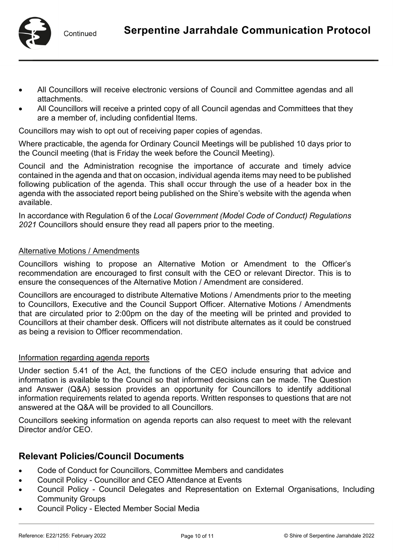

- All Councillors will receive electronic versions of Council and Committee agendas and all attachments.
- All Councillors will receive a printed copy of all Council agendas and Committees that they are a member of, including confidential Items.

Councillors may wish to opt out of receiving paper copies of agendas.

Where practicable, the agenda for Ordinary Council Meetings will be published 10 days prior to the Council meeting (that is Friday the week before the Council Meeting).

Council and the Administration recognise the importance of accurate and timely advice contained in the agenda and that on occasion, individual agenda items may need to be published following publication of the agenda. This shall occur through the use of a header box in the agenda with the associated report being published on the Shire's website with the agenda when available.

In accordance with Regulation 6 of the *Local Government (Model Code of Conduct) Regulations 2021* Councillors should ensure they read all papers prior to the meeting.

#### Alternative Motions / Amendments

Councillors wishing to propose an Alternative Motion or Amendment to the Officer's recommendation are encouraged to first consult with the CEO or relevant Director. This is to ensure the consequences of the Alternative Motion / Amendment are considered.

Councillors are encouraged to distribute Alternative Motions / Amendments prior to the meeting to Councillors, Executive and the Council Support Officer. Alternative Motions / Amendments that are circulated prior to 2:00pm on the day of the meeting will be printed and provided to Councillors at their chamber desk. Officers will not distribute alternates as it could be construed as being a revision to Officer recommendation.

#### Information regarding agenda reports

Under section 5.41 of the Act, the functions of the CEO include ensuring that advice and information is available to the Council so that informed decisions can be made. The Question and Answer (Q&A) session provides an opportunity for Councillors to identify additional information requirements related to agenda reports. Written responses to questions that are not answered at the Q&A will be provided to all Councillors.

Councillors seeking information on agenda reports can also request to meet with the relevant Director and/or CEO.

## **Relevant Policies/Council Documents**

- Code of Conduct for Councillors, Committee Members and candidates
- Council Policy Councillor and CEO Attendance at Events
- Council Policy Council Delegates and Representation on External Organisations, Including Community Groups
- Council Policy Elected Member Social Media